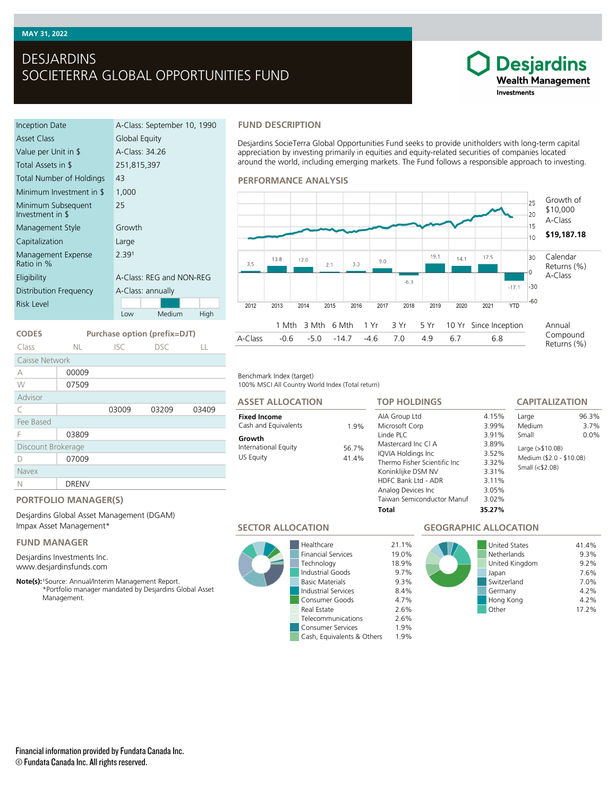## **MAY 31, 2022**

# DESJARDINS SOCIETERRA GLOBAL OPPORTUNITIES FUND

# **Desjardins Wealth Management** Investments

| Inception Date                         | A-Class: September 10, 1990 |  |  |  |
|----------------------------------------|-----------------------------|--|--|--|
| Asset Class                            | Global Equity               |  |  |  |
| Value per Unit in \$                   | A-Class: 34.26              |  |  |  |
| Total Assets in \$                     | 251,815,397                 |  |  |  |
| Total Number of Holdings               | 43                          |  |  |  |
| Minimum Investment in \$               | 1,000                       |  |  |  |
| Minimum Subsequent<br>Investment in \$ | 25                          |  |  |  |
| Management Style                       | Growth                      |  |  |  |
| Capitalization                         | Large                       |  |  |  |
| Management Expense<br>Ratio in %       | 2.391                       |  |  |  |
| Eligibility                            | A-Class: REG and NON-REG    |  |  |  |
| Distribution Frequency                 | A-Class: annually           |  |  |  |
| <b>Risk Level</b>                      |                             |  |  |  |
|                                        | Medium<br>High<br>Low       |  |  |  |

**CODES Purchase option (prefix=DJT)** Class NL ISC DSC LL

C 03009 03209 03409

### **FUND DESCRIPTION**

Desjardins SocieTerra Global Opportunities Fund seeks to provide unitholders with long-term capital appreciation by investing primarily in equities and equity-related securities of companies located around the world, including emerging markets. The Fund follows a responsible approach to investing.





100% MSCI All Country World Index (Total return) Benchmark Index (target)

| <b>ASSET ALLOCATION</b>                     |                | <b>TOP HOLDINGS</b>                                                                                                                                                                               |                                                                                | <b>CAPITALIZATION</b>                                                      |               |
|---------------------------------------------|----------------|---------------------------------------------------------------------------------------------------------------------------------------------------------------------------------------------------|--------------------------------------------------------------------------------|----------------------------------------------------------------------------|---------------|
| <b>Fixed Income</b><br>Cash and Equivalents | 1.9%           | AIA Group Ltd<br>Microsoft Corp                                                                                                                                                                   | 4.15%<br>3.99%                                                                 | Large<br>Medium                                                            | 96.3%<br>3.7% |
| Growth<br>International Equity<br>US Equity | 56.7%<br>41.4% | Linde PLC<br>Mastercard Inc CI A<br>IQVIA Holdings Inc<br>Thermo Fisher Scientific Inc.<br>Koninklijke DSM NV<br>HDFC Bank Ltd - ADR<br>Analog Devices Inc<br>Taiwan Semiconductor Manuf<br>Total | 3.91%<br>3.89%<br>3.52%<br>3.32%<br>3.31%<br>3.11%<br>3.05%<br>3.02%<br>35.27% | Small<br>Large $(>\$10.0B)$<br>Medium (\$2.0 - \$10.0B)<br>Small $($2.0B)$ | $0.0\%$       |

## **PORTFOLIO MANAGER(S)**

03809

Desjardins Global Asset Management (DGAM) Impax Asset Management\*

### **FUND MANAGER**

Discount Brokerage D 07009

N DRENV

Caisse Network A 00009 W 07509

Advisor

Fee Based

Navex

Desjardins Investments Inc. www.desjardinsfunds.com

Note(s): <sup>1</sup>Source: Annual/Interim Management Report. \*Portfolio manager mandated by Desjardins Global Asset Management.

**SECTOR ALLOCATION**



Healthcare 21.1% Financial Services 19.0% Technology 18.9% Industrial Goods<br>
Basic Materials
9.3% **Basic Materials** Industrial Services 8.4% Consumer Goods 4.7% Real Estate 2.6% Telecommunications 2.6% Consumer Services 1.9%<br>Cash, Equivalents & Others 1.9% Cash, Equivalents & Others

# **GEOGRAPHIC ALLOCATION**

| <b>United States</b><br>Netherlands<br>United Kingdom<br>Japan<br>Switzerland<br>Germany<br>Hong Kong<br>Other | 41.4%<br>9.3%<br>9.2%<br>7.6%<br>7.0%<br>4.2%<br>4.2%<br>17.2% |
|----------------------------------------------------------------------------------------------------------------|----------------------------------------------------------------|
|                                                                                                                |                                                                |